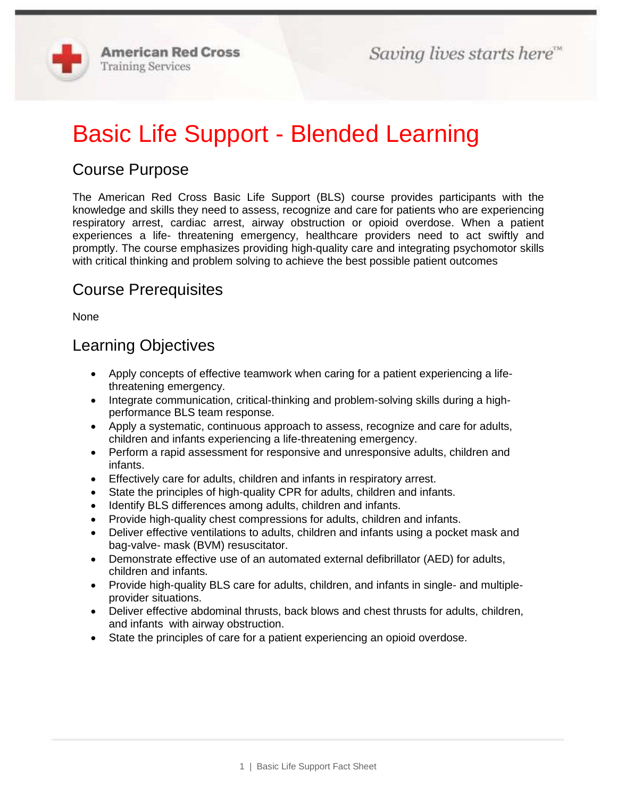

# Basic Life Support - Blended Learning

# Course Purpose

The American Red Cross Basic Life Support (BLS) course provides participants with the knowledge and skills they need to assess, recognize and care for patients who are experiencing respiratory arrest, cardiac arrest, airway obstruction or opioid overdose. When a patient experiences a life- threatening emergency, healthcare providers need to act swiftly and promptly. The course emphasizes providing high-quality care and integrating psychomotor skills with critical thinking and problem solving to achieve the best possible patient outcomes

#### Course Prerequisites

None

#### Learning Objectives

- Apply concepts of effective teamwork when caring for a patient experiencing a lifethreatening emergency.
- Integrate communication, critical-thinking and problem-solving skills during a highperformance BLS team response.
- Apply a systematic, continuous approach to assess, recognize and care for adults, children and infants experiencing a life-threatening emergency.
- Perform a rapid assessment for responsive and unresponsive adults, children and infants.
- Effectively care for adults, children and infants in respiratory arrest.
- State the principles of high-quality CPR for adults, children and infants.
- Identify BLS differences among adults, children and infants.
- Provide high-quality chest compressions for adults, children and infants.
- Deliver effective ventilations to adults, children and infants using a pocket mask and bag-valve- mask (BVM) resuscitator.
- Demonstrate effective use of an automated external defibrillator (AED) for adults, children and infants.
- Provide high-quality BLS care for adults, children, and infants in single- and multipleprovider situations.
- Deliver effective abdominal thrusts, back blows and chest thrusts for adults, children, and infants with airway obstruction.
- State the principles of care for a patient experiencing an opioid overdose.